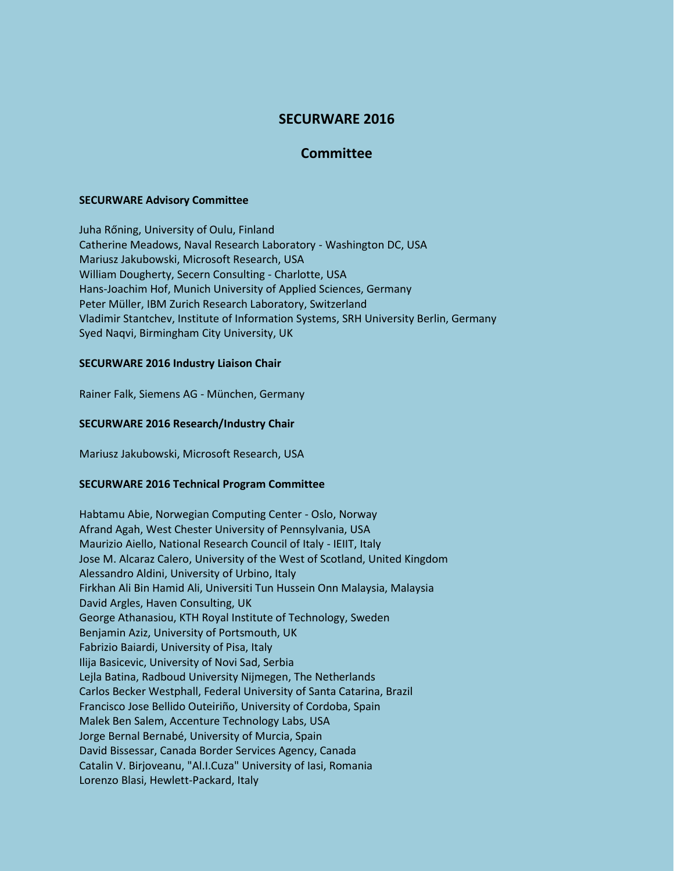# **SECURWARE 2016**

## **Committee**

#### **SECURWARE Advisory Committee**

Juha Rőning, University of Oulu, Finland Catherine Meadows, Naval Research Laboratory - Washington DC, USA Mariusz Jakubowski, Microsoft Research, USA William Dougherty, Secern Consulting - Charlotte, USA Hans-Joachim Hof, Munich University of Applied Sciences, Germany Peter Müller, IBM Zurich Research Laboratory, Switzerland Vladimir Stantchev, Institute of Information Systems, SRH University Berlin, Germany Syed Naqvi, Birmingham City University, UK

## **SECURWARE 2016 Industry Liaison Chair**

Rainer Falk, Siemens AG - München, Germany

## **SECURWARE 2016 Research/Industry Chair**

Mariusz Jakubowski, Microsoft Research, USA

#### **SECURWARE 2016 Technical Program Committee**

Habtamu Abie, Norwegian Computing Center - Oslo, Norway Afrand Agah, West Chester University of Pennsylvania, USA Maurizio Aiello, National Research Council of Italy - IEIIT, Italy Jose M. Alcaraz Calero, University of the West of Scotland, United Kingdom Alessandro Aldini, University of Urbino, Italy Firkhan Ali Bin Hamid Ali, Universiti Tun Hussein Onn Malaysia, Malaysia David Argles, Haven Consulting, UK George Athanasiou, KTH Royal Institute of Technology, Sweden Benjamin Aziz, University of Portsmouth, UK Fabrizio Baiardi, University of Pisa, Italy Ilija Basicevic, University of Novi Sad, Serbia Lejla Batina, Radboud University Nijmegen, The Netherlands Carlos Becker Westphall, Federal University of Santa Catarina, Brazil Francisco Jose Bellido Outeiriño, University of Cordoba, Spain Malek Ben Salem, Accenture Technology Labs, USA Jorge Bernal Bernabé, University of Murcia, Spain David Bissessar, Canada Border Services Agency, Canada Catalin V. Birjoveanu, "Al.I.Cuza" University of Iasi, Romania Lorenzo Blasi, Hewlett-Packard, Italy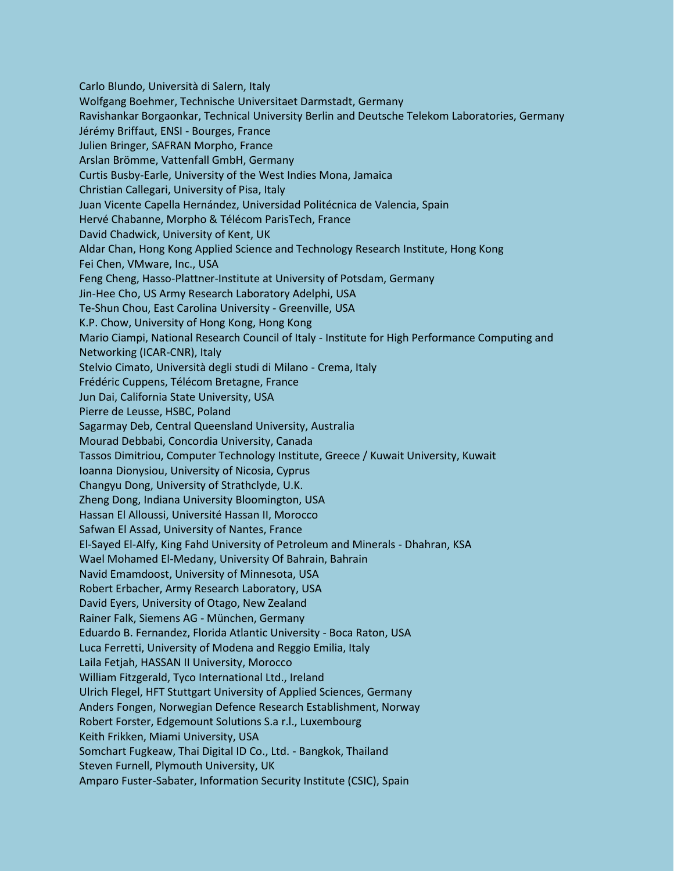Carlo Blundo, Università di Salern, Italy Wolfgang Boehmer, Technische Universitaet Darmstadt, Germany Ravishankar Borgaonkar, Technical University Berlin and Deutsche Telekom Laboratories, Germany Jérémy Briffaut, ENSI - Bourges, France Julien Bringer, SAFRAN Morpho, France Arslan Brömme, Vattenfall GmbH, Germany Curtis Busby-Earle, University of the West Indies Mona, Jamaica Christian Callegari, University of Pisa, Italy Juan Vicente Capella Hernández, Universidad Politécnica de Valencia, Spain Hervé Chabanne, Morpho & Télécom ParisTech, France David Chadwick, University of Kent, UK Aldar Chan, Hong Kong Applied Science and Technology Research Institute, Hong Kong Fei Chen, VMware, Inc., USA Feng Cheng, Hasso-Plattner-Institute at University of Potsdam, Germany Jin-Hee Cho, US Army Research Laboratory Adelphi, USA Te-Shun Chou, East Carolina University - Greenville, USA K.P. Chow, University of Hong Kong, Hong Kong Mario Ciampi, National Research Council of Italy - Institute for High Performance Computing and Networking (ICAR-CNR), Italy Stelvio Cimato, Università degli studi di Milano - Crema, Italy Frédéric Cuppens, Télécom Bretagne, France Jun Dai, California State University, USA Pierre de Leusse, HSBC, Poland Sagarmay Deb, Central Queensland University, Australia Mourad Debbabi, Concordia University, Canada Tassos Dimitriou, Computer Technology Institute, Greece / Kuwait University, Kuwait Ioanna Dionysiou, University of Nicosia, Cyprus Changyu Dong, University of Strathclyde, U.K. Zheng Dong, Indiana University Bloomington, USA Hassan El Alloussi, Université Hassan II, Morocco Safwan El Assad, University of Nantes, France El-Sayed El-Alfy, King Fahd University of Petroleum and Minerals - Dhahran, KSA Wael Mohamed El-Medany, University Of Bahrain, Bahrain Navid Emamdoost, University of Minnesota, USA Robert Erbacher, Army Research Laboratory, USA David Eyers, University of Otago, New Zealand Rainer Falk, Siemens AG - München, Germany Eduardo B. Fernandez, Florida Atlantic University - Boca Raton, USA Luca Ferretti, University of Modena and Reggio Emilia, Italy Laila Fetjah, HASSAN II University, Morocco William Fitzgerald, Tyco International Ltd., Ireland Ulrich Flegel, HFT Stuttgart University of Applied Sciences, Germany Anders Fongen, Norwegian Defence Research Establishment, Norway Robert Forster, Edgemount Solutions S.a r.l., Luxembourg Keith Frikken, Miami University, USA Somchart Fugkeaw, Thai Digital ID Co., Ltd. - Bangkok, Thailand Steven Furnell, Plymouth University, UK Amparo Fuster-Sabater, Information Security Institute (CSIC), Spain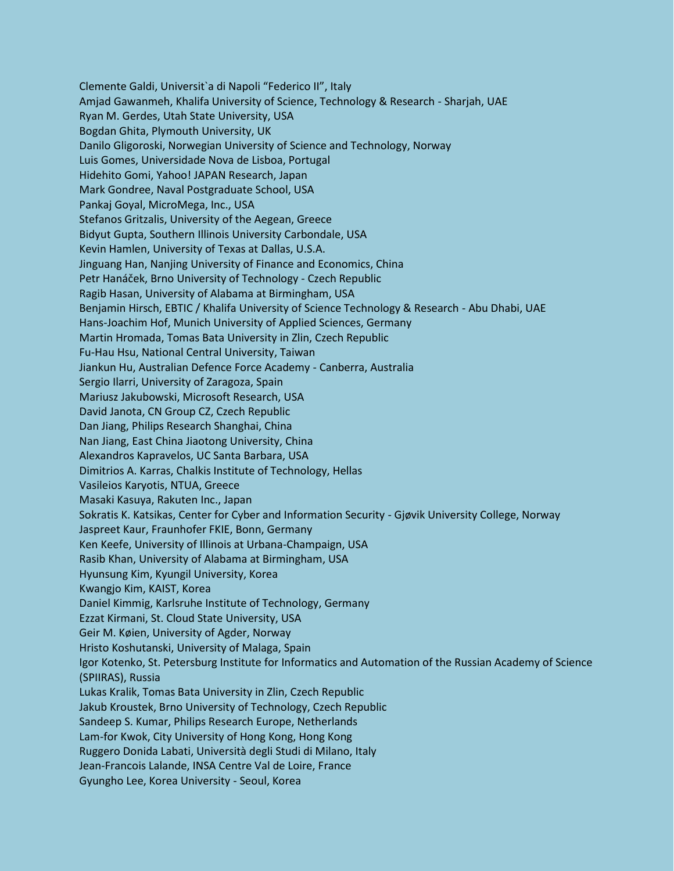Clemente Galdi, Universit`a di Napoli "Federico II", Italy Amjad Gawanmeh, Khalifa University of Science, Technology & Research - Sharjah, UAE Ryan M. Gerdes, Utah State University, USA Bogdan Ghita, Plymouth University, UK Danilo Gligoroski, Norwegian University of Science and Technology, Norway Luis Gomes, Universidade Nova de Lisboa, Portugal Hidehito Gomi, Yahoo! JAPAN Research, Japan Mark Gondree, Naval Postgraduate School, USA Pankaj Goyal, MicroMega, Inc., USA Stefanos Gritzalis, University of the Aegean, Greece Bidyut Gupta, Southern Illinois University Carbondale, USA Kevin Hamlen, University of Texas at Dallas, U.S.A. Jinguang Han, Nanjing University of Finance and Economics, China Petr Hanáček, Brno University of Technology - Czech Republic Ragib Hasan, University of Alabama at Birmingham, USA Benjamin Hirsch, EBTIC / Khalifa University of Science Technology & Research - Abu Dhabi, UAE Hans-Joachim Hof, Munich University of Applied Sciences, Germany Martin Hromada, Tomas Bata University in Zlin, Czech Republic Fu-Hau Hsu, National Central University, Taiwan Jiankun Hu, Australian Defence Force Academy - Canberra, Australia Sergio Ilarri, University of Zaragoza, Spain Mariusz Jakubowski, Microsoft Research, USA David Janota, CN Group CZ, Czech Republic Dan Jiang, Philips Research Shanghai, China Nan Jiang, East China Jiaotong University, China Alexandros Kapravelos, UC Santa Barbara, USA Dimitrios A. Karras, Chalkis Institute of Technology, Hellas Vasileios Karyotis, NTUA, Greece Masaki Kasuya, Rakuten Inc., Japan Sokratis K. Katsikas, Center for Cyber and Information Security - Gjøvik University College, Norway Jaspreet Kaur, Fraunhofer FKIE, Bonn, Germany Ken Keefe, University of Illinois at Urbana-Champaign, USA Rasib Khan, University of Alabama at Birmingham, USA Hyunsung Kim, Kyungil University, Korea Kwangjo Kim, KAIST, Korea Daniel Kimmig, Karlsruhe Institute of Technology, Germany Ezzat Kirmani, St. Cloud State University, USA Geir M. Køien, University of Agder, Norway Hristo Koshutanski, University of Malaga, Spain Igor Kotenko, St. Petersburg Institute for Informatics and Automation of the Russian Academy of Science (SPIIRAS), Russia Lukas Kralik, Tomas Bata University in Zlin, Czech Republic Jakub Kroustek, Brno University of Technology, Czech Republic Sandeep S. Kumar, Philips Research Europe, Netherlands Lam-for Kwok, City University of Hong Kong, Hong Kong Ruggero Donida Labati, Università degli Studi di Milano, Italy Jean-Francois Lalande, INSA Centre Val de Loire, France Gyungho Lee, Korea University - Seoul, Korea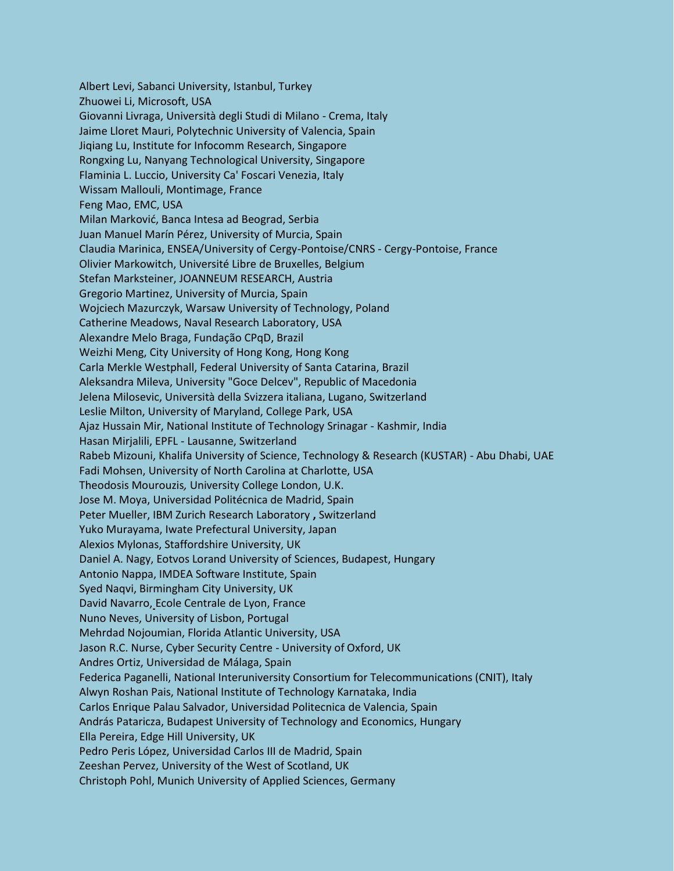Albert Levi, Sabanci University, Istanbul, Turkey Zhuowei Li, Microsoft, USA Giovanni Livraga, Università degli Studi di Milano - Crema, Italy Jaime Lloret Mauri, Polytechnic University of Valencia, Spain Jiqiang Lu, Institute for Infocomm Research, Singapore Rongxing Lu, Nanyang Technological University, Singapore Flaminia L. Luccio, University Ca' Foscari Venezia, Italy Wissam Mallouli, Montimage, France Feng Mao, EMC, USA Milan Marković, Banca Intesa ad Beograd, Serbia Juan Manuel Marín Pérez, University of Murcia, Spain Claudia Marinica, ENSEA/University of Cergy-Pontoise/CNRS - Cergy-Pontoise, France Olivier Markowitch, Université Libre de Bruxelles, Belgium Stefan Marksteiner, JOANNEUM RESEARCH, Austria Gregorio Martinez, University of Murcia, Spain Wojciech Mazurczyk, Warsaw University of Technology, Poland Catherine Meadows, Naval Research Laboratory, USA Alexandre Melo Braga, Fundação CPqD, Brazil Weizhi Meng, City University of Hong Kong, Hong Kong Carla Merkle Westphall, Federal University of Santa Catarina, Brazil Aleksandra Mileva, University "Goce Delcev", Republic of Macedonia Jelena Milosevic, Università della Svizzera italiana, Lugano, Switzerland Leslie Milton, University of Maryland, College Park, USA Ajaz Hussain Mir, National Institute of Technology Srinagar - Kashmir, India Hasan Mirjalili, EPFL - Lausanne, Switzerland Rabeb Mizouni, Khalifa University of Science, Technology & Research (KUSTAR) - Abu Dhabi, UAE Fadi Mohsen, University of North Carolina at Charlotte, USA Theodosis Mourouzis*,* University College London, U.K. Jose M. Moya, Universidad Politécnica de Madrid, Spain Peter Mueller, IBM Zurich Research Laboratory **,** Switzerland Yuko Murayama, Iwate Prefectural University, Japan Alexios Mylonas, Staffordshire University, UK Daniel A. Nagy, Eotvos Lorand University of Sciences, Budapest, Hungary Antonio Nappa, IMDEA Software Institute, Spain Syed Naqvi, Birmingham City University, UK David Navarro, Ecole Centrale de Lyon, France Nuno Neves, University of Lisbon, Portugal Mehrdad Nojoumian, Florida Atlantic University, USA Jason R.C. Nurse, Cyber Security Centre - University of Oxford, UK Andres Ortiz, Universidad de Málaga, Spain Federica Paganelli, National Interuniversity Consortium for Telecommunications (CNIT), Italy Alwyn Roshan Pais, National Institute of Technology Karnataka, India Carlos Enrique Palau Salvador, Universidad Politecnica de Valencia, Spain András Pataricza, Budapest University of Technology and Economics, Hungary Ella Pereira, Edge Hill University, UK Pedro Peris López, Universidad Carlos III de Madrid, Spain Zeeshan Pervez, University of the West of Scotland, UK Christoph Pohl, Munich University of Applied Sciences, Germany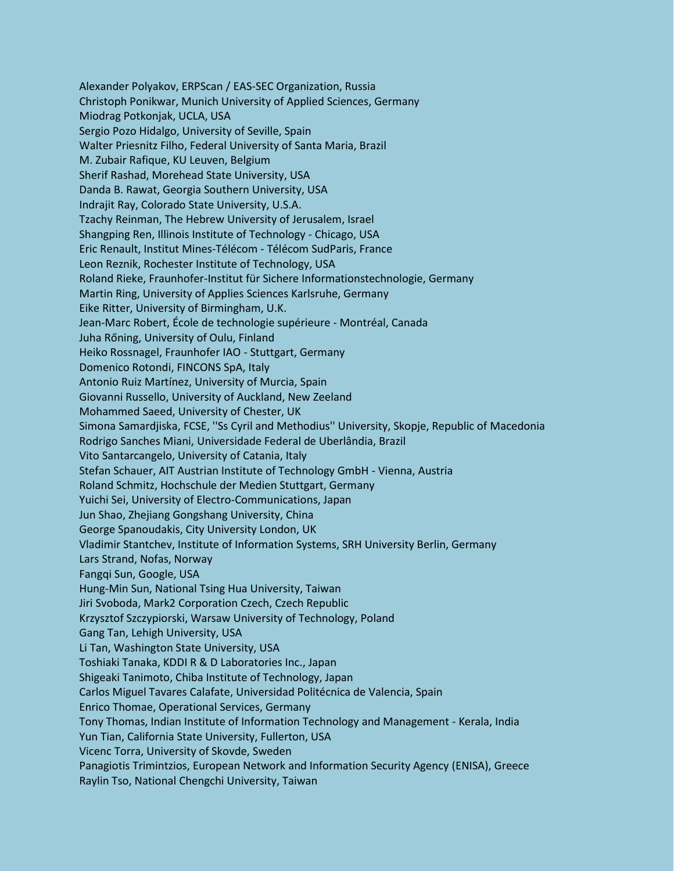Alexander Polyakov, ERPScan / EAS-SEC Organization, Russia Christoph Ponikwar, Munich University of Applied Sciences, Germany Miodrag Potkonjak, UCLA, USA Sergio Pozo Hidalgo, University of Seville, Spain Walter Priesnitz Filho, Federal University of Santa Maria, Brazil M. Zubair Rafique, KU Leuven, Belgium Sherif Rashad, Morehead State University, USA Danda B. Rawat, Georgia Southern University, USA Indrajit Ray, Colorado State University, U.S.A. Tzachy Reinman, The Hebrew University of Jerusalem, Israel Shangping Ren, Illinois Institute of Technology - Chicago, USA Eric Renault, Institut Mines-Télécom - Télécom SudParis, France Leon Reznik, Rochester Institute of Technology, USA Roland Rieke, Fraunhofer-Institut für Sichere Informationstechnologie, Germany Martin Ring, University of Applies Sciences Karlsruhe, Germany Eike Ritter, University of Birmingham, U.K. Jean-Marc Robert, École de technologie supérieure - Montréal, Canada Juha Rőning, University of Oulu, Finland Heiko Rossnagel, Fraunhofer IAO - Stuttgart, Germany Domenico Rotondi, FINCONS SpA, Italy Antonio Ruiz Martínez, University of Murcia, Spain Giovanni Russello, University of Auckland, New Zeeland Mohammed Saeed, University of Chester, UK Simona Samardjiska, FCSE, ''Ss Cyril and Methodius'' University, Skopje, Republic of Macedonia Rodrigo Sanches Miani, Universidade Federal de Uberlândia, Brazil Vito Santarcangelo, University of Catania, Italy Stefan Schauer, AIT Austrian Institute of Technology GmbH - Vienna, Austria Roland Schmitz, Hochschule der Medien Stuttgart, Germany Yuichi Sei, University of Electro-Communications, Japan Jun Shao, Zhejiang Gongshang University, China George Spanoudakis, City University London, UK Vladimir Stantchev, Institute of Information Systems, SRH University Berlin, Germany Lars Strand, Nofas, Norway Fangqi Sun, Google, USA Hung-Min Sun, National Tsing Hua University, Taiwan Jiri Svoboda, Mark2 Corporation Czech, Czech Republic Krzysztof Szczypiorski, Warsaw University of Technology, Poland Gang Tan, Lehigh University, USA Li Tan, Washington State University, USA Toshiaki Tanaka, KDDI R & D Laboratories Inc., Japan Shigeaki Tanimoto, Chiba Institute of Technology, Japan Carlos Miguel Tavares Calafate, Universidad Politécnica de Valencia, Spain Enrico Thomae, Operational Services, Germany Tony Thomas, Indian Institute of Information Technology and Management - Kerala, India Yun Tian, California State University, Fullerton, USA Vicenc Torra, University of Skovde, Sweden Panagiotis Trimintzios, European Network and Information Security Agency (ENISA), Greece Raylin Tso, National Chengchi University, Taiwan